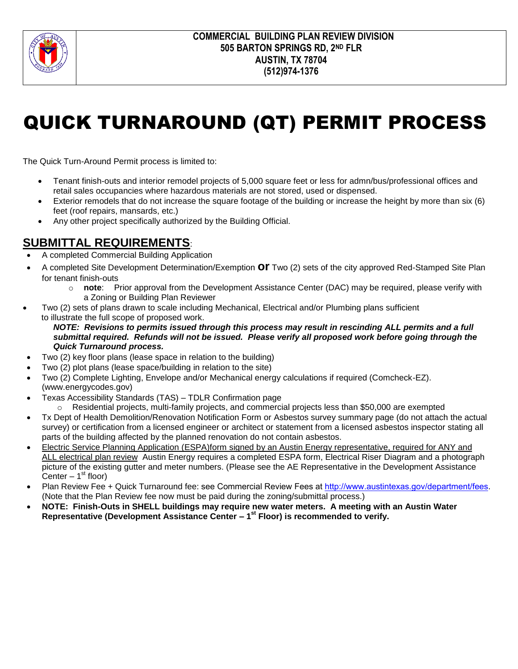

# QUICK TURNAROUND (QT) PERMIT PROCESS

The Quick Turn-Around Permit process is limited to:

- Tenant finish-outs and interior remodel projects of 5,000 square feet or less for admn/bus/professional offices and retail sales occupancies where hazardous materials are not stored, used or dispensed.
- Exterior remodels that do not increase the square footage of the building or increase the height by more than six (6) feet (roof repairs, mansards, etc.)
- Any other project specifically authorized by the Building Official.

### **SUBMITTAL REQUIREMENTS**:

- A completed Commercial Building Application
- A completed Site Development Determination/Exemption **or** Two (2) sets of the city approved Red-Stamped Site Plan for tenant finish-outs
	- o **note**: Prior approval from the Development Assistance Center (DAC) may be required, please verify with a Zoning or Building Plan Reviewer
- Two (2) sets of plans drawn to scale including Mechanical, Electrical and/or Plumbing plans sufficient to illustrate the full scope of proposed work.

#### *NOTE: Revisions to permits issued through this process may result in rescinding ALL permits and a full submittal required. Refunds will not be issued. Please verify all proposed work before going through the Quick Turnaround process.*

- Two (2) key floor plans (lease space in relation to the building)
- Two (2) plot plans (lease space/building in relation to the site)
- Two (2) Complete Lighting, Envelope and/or Mechanical energy calculations if required (Comcheck-EZ). (www.energycodes.gov)
- Texas Accessibility Standards (TAS) TDLR Confirmation page
	- $\circ$  Residential projects, multi-family projects, and commercial projects less than \$50,000 are exempted
- Tx Dept of Health Demolition/Renovation Notification Form or Asbestos survey summary page (do not attach the actual survey) or certification from a licensed engineer or architect or statement from a licensed asbestos inspector stating all parts of the building affected by the planned renovation do not contain asbestos.
- Electric Service Planning Application (ESPA)form signed by an Austin Energy representative, required for ANY and ALL electrical plan review Austin Energy requires a completed ESPA form, Electrical Riser Diagram and a photograph picture of the existing gutter and meter numbers. (Please see the AE Representative in the Development Assistance Center  $-1<sup>st</sup>$  floor)
- Plan Review Fee + Quick Turnaround fee: see Commercial Review Fees at<http://www.austintexas.gov/department/fees>. (Note that the Plan Review fee now must be paid during the zoning/submittal process.)
- **NOTE: Finish-Outs in SHELL buildings may require new water meters. A meeting with an Austin Water Representative (Development Assistance Center – 1st Floor) is recommended to verify.**